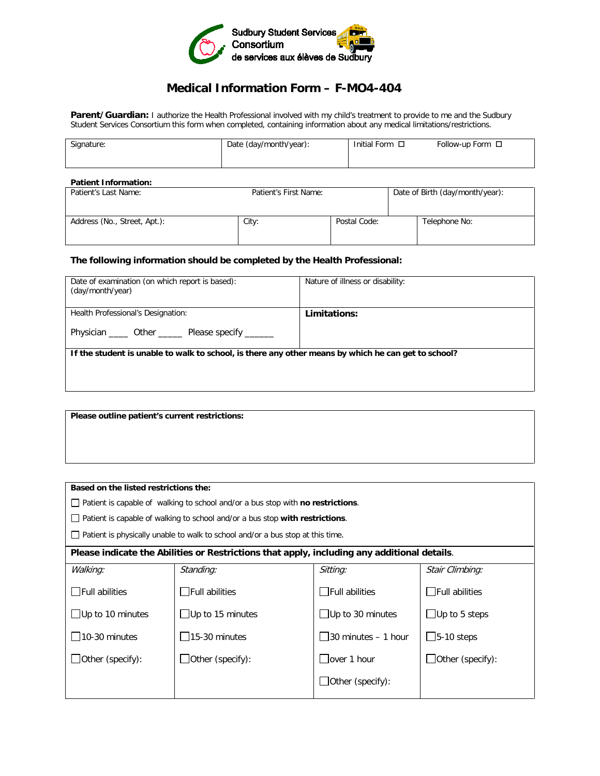

## **Medical Information Form – F-MO4-404**

Parent/Guardian: I authorize the Health Professional involved with my child's treatment to provide to me and the Sudbury Student Services Consortium this form when completed, containing information about any medical limitations/restrictions.

| Signature: | Date (day/month/year): | Initial Form □ | Follow-up Form $\Box$ |
|------------|------------------------|----------------|-----------------------|
|            |                        |                |                       |

## **Patient Information:**<br>Patient's Last Name: Patient's First Name: <br> **Date of Birth (day/month/year):** Address (No., Street, Apt.): City: City: City: Postal Code: Telephone No:

## **The following information should be completed by the Health Professional:**

| Date of examination (on which report is based):<br>(day/month/year)                                 | Nature of illness or disability: |
|-----------------------------------------------------------------------------------------------------|----------------------------------|
| Health Professional's Designation:                                                                  | Limitations:                     |
| Physician ______ Other _______ Please specify _______                                               |                                  |
| If the student is unable to walk to school, is there any other means by which he can get to school? |                                  |
|                                                                                                     |                                  |
|                                                                                                     |                                  |

**Please outline patient's current restrictions:**

| Based on the listed restrictions the:                                                          |                          |                         |                         |
|------------------------------------------------------------------------------------------------|--------------------------|-------------------------|-------------------------|
| $\Box$ Patient is capable of walking to school and/or a bus stop with <b>no restrictions</b> . |                          |                         |                         |
| $\Box$ Patient is capable of walking to school and/or a bus stop with restrictions.            |                          |                         |                         |
| $\Box$ Patient is physically unable to walk to school and/or a bus stop at this time.          |                          |                         |                         |
| Please indicate the Abilities or Restrictions that apply, including any additional details.    |                          |                         |                         |
| Walking:                                                                                       | Standing:                | Sitting:                | Stair Climbing:         |
| $\Box$ Full abilities                                                                          | $\exists$ Full abilities | $\Box$ Full abilities   | $\Box$ Full abilities   |
| $\Box$ Up to 10 minutes                                                                        | $\Box$ Up to 15 minutes  | $\Box$ Up to 30 minutes | $\Box$ Up to 5 steps    |
| $\vert$ 10-30 minutes                                                                          | 15-30 minutes            | 30 minutes - 1 hour     | $\Box$ 5-10 steps       |
| $\Box$ Other (specify):                                                                        | $\Box$ Other (specify):  | over 1 hour             | $\Box$ Other (specify): |
|                                                                                                |                          | $\Box$ Other (specify): |                         |